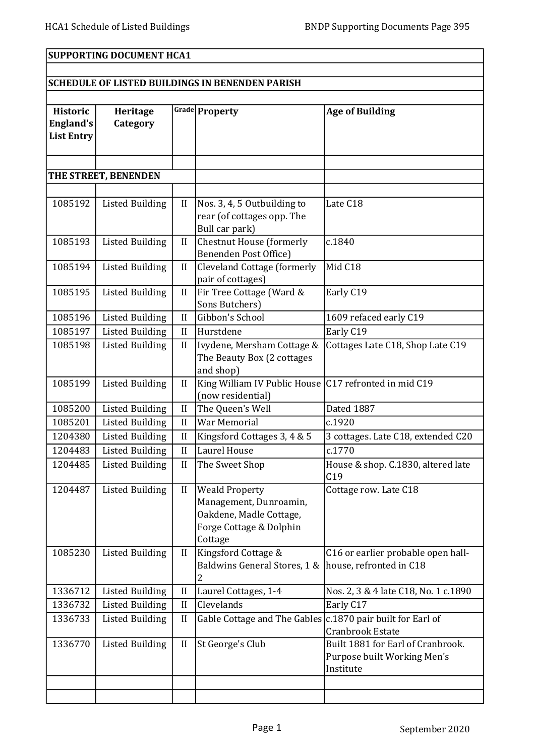## SUPPORTING DOCUMENT HCA1

## SCHEDULE OF LISTED BUILDINGS IN BENENDEN PARISH

| <b>Historic</b>   | Heritage               |              | Grade Property                                               | <b>Age of Building</b>                    |  |  |
|-------------------|------------------------|--------------|--------------------------------------------------------------|-------------------------------------------|--|--|
| <b>England's</b>  | Category               |              |                                                              |                                           |  |  |
| <b>List Entry</b> |                        |              |                                                              |                                           |  |  |
|                   |                        |              |                                                              |                                           |  |  |
|                   | THE STREET, BENENDEN   |              |                                                              |                                           |  |  |
|                   |                        |              |                                                              |                                           |  |  |
| 1085192           | <b>Listed Building</b> | II           | Nos. 3, 4, 5 Outbuilding to                                  | Late C18                                  |  |  |
|                   |                        |              | rear (of cottages opp. The                                   |                                           |  |  |
|                   |                        |              | Bull car park)                                               |                                           |  |  |
| 1085193           | <b>Listed Building</b> | II           | Chestnut House (formerly<br>Benenden Post Office)            | c.1840                                    |  |  |
| 1085194           | <b>Listed Building</b> | $\mathbf{I}$ | Cleveland Cottage (formerly                                  | Mid C18                                   |  |  |
|                   |                        |              | pair of cottages)                                            |                                           |  |  |
| 1085195           | <b>Listed Building</b> | $\mathbf{I}$ | Fir Tree Cottage (Ward &                                     | Early C19                                 |  |  |
|                   |                        |              | Sons Butchers)                                               |                                           |  |  |
| 1085196           | <b>Listed Building</b> | II           | Gibbon's School                                              | 1609 refaced early C19                    |  |  |
| 1085197           | <b>Listed Building</b> | II           | Hurstdene                                                    | Early C19                                 |  |  |
| 1085198           | <b>Listed Building</b> | $\rm II$     | Ivydene, Mersham Cottage &<br>The Beauty Box (2 cottages     | Cottages Late C18, Shop Late C19          |  |  |
|                   |                        |              | and shop)                                                    |                                           |  |  |
| 1085199           | <b>Listed Building</b> | II           | King William IV Public House C17 refronted in mid C19        |                                           |  |  |
|                   |                        |              | (now residential)                                            |                                           |  |  |
| 1085200           | <b>Listed Building</b> | II           | The Queen's Well                                             | Dated 1887                                |  |  |
| 1085201           | <b>Listed Building</b> | II           | <b>War Memorial</b>                                          | c.1920                                    |  |  |
| 1204380           | <b>Listed Building</b> | II           | Kingsford Cottages 3, 4 & 5                                  | 3 cottages. Late C18, extended C20        |  |  |
| 1204483           | <b>Listed Building</b> | II           | Laurel House                                                 | c.1770                                    |  |  |
| 1204485           | <b>Listed Building</b> | II           | The Sweet Shop                                               | House & shop. C.1830, altered late<br>C19 |  |  |
| 1204487           | <b>Listed Building</b> | $\mathbf{I}$ | <b>Weald Property</b>                                        | Cottage row. Late C18                     |  |  |
|                   |                        |              | Management, Dunroamin,                                       |                                           |  |  |
|                   |                        |              | Oakdene, Madle Cottage,<br>Forge Cottage & Dolphin           |                                           |  |  |
|                   |                        |              | Cottage                                                      |                                           |  |  |
| 1085230           | <b>Listed Building</b> | $\mathbf{I}$ | Kingsford Cottage &                                          | C16 or earlier probable open hall-        |  |  |
|                   |                        |              | Baldwins General Stores, 1 &                                 | house, refronted in C18                   |  |  |
|                   |                        |              | 2                                                            |                                           |  |  |
| 1336712           | <b>Listed Building</b> | II           | Laurel Cottages, 1-4                                         | Nos. 2, 3 & 4 late C18, No. 1 c.1890      |  |  |
| 1336732           | <b>Listed Building</b> | $\mathbf{I}$ | Clevelands                                                   | Early C17                                 |  |  |
| 1336733           | <b>Listed Building</b> | II           | Gable Cottage and The Gables   c.1870 pair built for Earl of | <b>Cranbrook Estate</b>                   |  |  |
| 1336770           | <b>Listed Building</b> | $\mathbf{I}$ | St George's Club                                             | Built 1881 for Earl of Cranbrook.         |  |  |
|                   |                        |              |                                                              | Purpose built Working Men's               |  |  |
|                   |                        |              |                                                              | Institute                                 |  |  |
|                   |                        |              |                                                              |                                           |  |  |
|                   |                        |              |                                                              |                                           |  |  |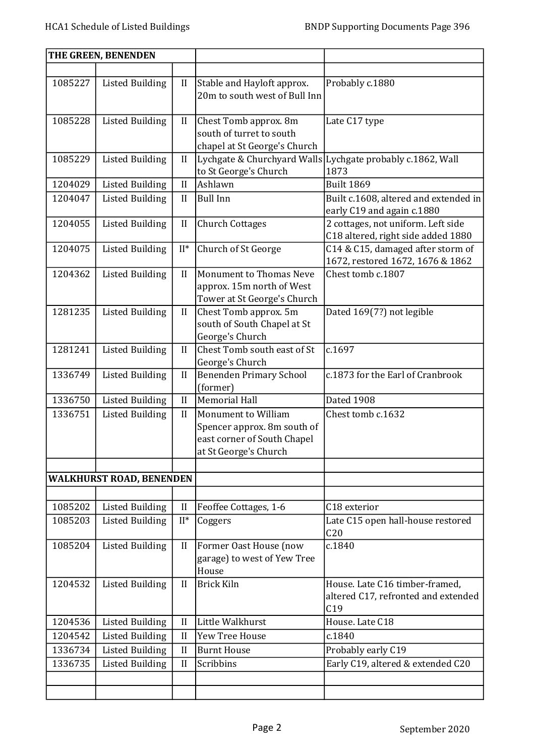| THE GREEN, BENENDEN |                                 |              |                                                                                                            |                                                                              |
|---------------------|---------------------------------|--------------|------------------------------------------------------------------------------------------------------------|------------------------------------------------------------------------------|
|                     |                                 |              |                                                                                                            |                                                                              |
| 1085227             | <b>Listed Building</b>          | $\mathbf{I}$ | Stable and Hayloft approx.<br>20m to south west of Bull Inn                                                | Probably c.1880                                                              |
| 1085228             | <b>Listed Building</b>          | $\mathbf{I}$ | Chest Tomb approx. 8m<br>south of turret to south<br>chapel at St George's Church                          | Late C17 type                                                                |
| 1085229             | <b>Listed Building</b>          | $\mathbf{I}$ | to St George's Church                                                                                      | Lychgate & Churchyard Walls Lychgate probably c.1862, Wall<br>1873           |
| 1204029             | <b>Listed Building</b>          | $\mathbf{I}$ | Ashlawn                                                                                                    | <b>Built 1869</b>                                                            |
| 1204047             | <b>Listed Building</b>          | II           | <b>Bull Inn</b>                                                                                            | Built c.1608, altered and extended in<br>early C19 and again c.1880          |
| 1204055             | <b>Listed Building</b>          | $\mathbf{I}$ | <b>Church Cottages</b>                                                                                     | 2 cottages, not uniform. Left side<br>C18 altered, right side added 1880     |
| 1204075             | <b>Listed Building</b>          | $II^*$       | Church of St George                                                                                        | C14 & C15, damaged after storm of<br>1672, restored 1672, 1676 & 1862        |
| 1204362             | <b>Listed Building</b>          | II           | <b>Monument to Thomas Neve</b><br>approx. 15m north of West<br>Tower at St George's Church                 | Chest tomb c.1807                                                            |
| 1281235             | <b>Listed Building</b>          | II           | Chest Tomb approx. 5m<br>south of South Chapel at St<br>George's Church                                    | Dated 169(7?) not legible                                                    |
| 1281241             | <b>Listed Building</b>          | II           | Chest Tomb south east of St<br>George's Church                                                             | c.1697                                                                       |
| 1336749             | <b>Listed Building</b>          | $\mathbf{I}$ | <b>Benenden Primary School</b><br>(former)                                                                 | c.1873 for the Earl of Cranbrook                                             |
| 1336750             | <b>Listed Building</b>          | II           | <b>Memorial Hall</b>                                                                                       | Dated 1908                                                                   |
| 1336751             | <b>Listed Building</b>          | II           | Monument to William<br>Spencer approx. 8m south of<br>east corner of South Chapel<br>at St George's Church | Chest tomb c.1632                                                            |
|                     | <b>WALKHURST ROAD, BENENDEN</b> |              |                                                                                                            |                                                                              |
|                     |                                 |              |                                                                                                            |                                                                              |
| 1085202             | <b>Listed Building</b>          | $\mathbf{I}$ | Feoffee Cottages, 1-6                                                                                      | C18 exterior                                                                 |
| 1085203             | <b>Listed Building</b>          | $II^*$       | Coggers                                                                                                    | Late C15 open hall-house restored<br>C <sub>20</sub>                         |
| 1085204             | <b>Listed Building</b>          | $\mathbf{I}$ | Former Oast House (now<br>garage) to west of Yew Tree<br>House                                             | c.1840                                                                       |
| 1204532             | <b>Listed Building</b>          | II           | <b>Brick Kiln</b>                                                                                          | House. Late C16 timber-framed,<br>altered C17, refronted and extended<br>C19 |
| 1204536             | <b>Listed Building</b>          | $\mathbf{I}$ | Little Walkhurst                                                                                           | House. Late C18                                                              |
| 1204542             | <b>Listed Building</b>          | II           | Yew Tree House                                                                                             | c.1840                                                                       |
| 1336734             | <b>Listed Building</b>          | $\mathbf{I}$ | <b>Burnt House</b>                                                                                         | Probably early C19                                                           |
| 1336735             | <b>Listed Building</b>          | II           | Scribbins                                                                                                  | Early C19, altered & extended C20                                            |
|                     |                                 |              |                                                                                                            |                                                                              |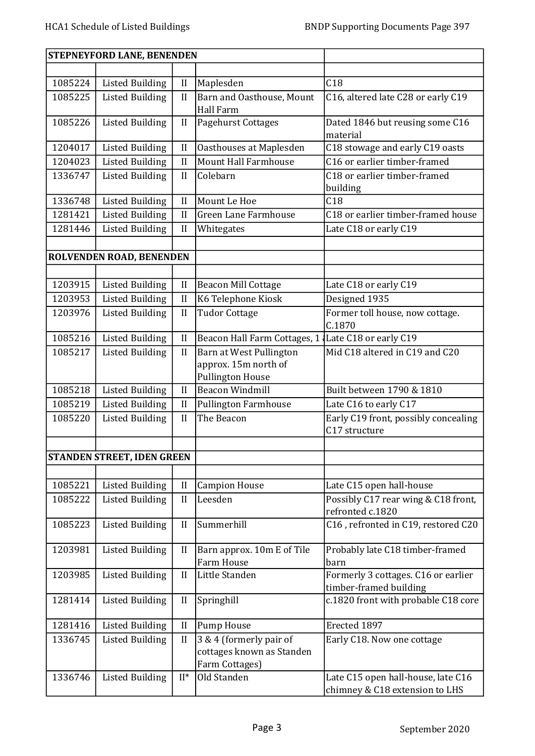|         | STEPNEYFORD LANE, BENENDEN        |              |                                                                            |                                                                      |
|---------|-----------------------------------|--------------|----------------------------------------------------------------------------|----------------------------------------------------------------------|
|         |                                   |              |                                                                            |                                                                      |
| 1085224 | <b>Listed Building</b>            | $\mathbf{I}$ | Maplesden                                                                  | C18                                                                  |
| 1085225 | <b>Listed Building</b>            | II           | Barn and Oasthouse, Mount<br>Hall Farm                                     | C16, altered late C28 or early C19                                   |
| 1085226 | <b>Listed Building</b>            | $\mathbf{I}$ | <b>Pagehurst Cottages</b>                                                  | Dated 1846 but reusing some C16<br>material                          |
| 1204017 | <b>Listed Building</b>            | II           | Oasthouses at Maplesden                                                    | C18 stowage and early C19 oasts                                      |
| 1204023 | <b>Listed Building</b>            | II           | <b>Mount Hall Farmhouse</b>                                                | C16 or earlier timber-framed                                         |
| 1336747 | <b>Listed Building</b>            | II           | Colebarn                                                                   | C18 or earlier timber-framed<br>building                             |
| 1336748 | <b>Listed Building</b>            | $\mathbf{I}$ | Mount Le Hoe                                                               | C18                                                                  |
| 1281421 | <b>Listed Building</b>            | II           | Green Lane Farmhouse                                                       | C18 or earlier timber-framed house                                   |
| 1281446 | <b>Listed Building</b>            | $\mathbf{I}$ | Whitegates                                                                 | Late C18 or early C19                                                |
|         |                                   |              |                                                                            |                                                                      |
|         | ROLVENDEN ROAD, BENENDEN          |              |                                                                            |                                                                      |
|         |                                   |              |                                                                            |                                                                      |
| 1203915 | <b>Listed Building</b>            | $\mathbf{I}$ | <b>Beacon Mill Cottage</b>                                                 | Late C18 or early C19                                                |
| 1203953 | <b>Listed Building</b>            | $\mathbf{I}$ | K6 Telephone Kiosk                                                         | Designed 1935                                                        |
| 1203976 | <b>Listed Building</b>            | II           | <b>Tudor Cottage</b>                                                       | Former toll house, now cottage.<br>C.1870                            |
| 1085216 | <b>Listed Building</b>            | II           | Beacon Hall Farm Cottages, 1 Late C18 or early C19                         |                                                                      |
| 1085217 | <b>Listed Building</b>            | II           | Barn at West Pullington<br>approx. 15m north of<br><b>Pullington House</b> | Mid C18 altered in C19 and C20                                       |
| 1085218 | <b>Listed Building</b>            | II           | <b>Beacon Windmill</b>                                                     | Built between 1790 & 1810                                            |
| 1085219 | <b>Listed Building</b>            | $\mathbf{I}$ | <b>Pullington Farmhouse</b>                                                | Late C16 to early C17                                                |
| 1085220 | <b>Listed Building</b>            | II           | The Beacon                                                                 | Early C19 front, possibly concealing<br>C17 structure                |
|         |                                   |              |                                                                            |                                                                      |
|         | <b>STANDEN STREET, IDEN GREEN</b> |              |                                                                            |                                                                      |
|         |                                   |              |                                                                            |                                                                      |
| 1085221 | <b>Listed Building</b>            | $\mathbf{I}$ | <b>Campion House</b>                                                       | Late C15 open hall-house                                             |
| 1085222 | <b>Listed Building</b>            | II           | Leesden                                                                    | Possibly C17 rear wing & C18 front,<br>refronted c.1820              |
| 1085223 | <b>Listed Building</b>            | II           | Summerhill                                                                 | C16, refronted in C19, restored C20                                  |
| 1203981 | <b>Listed Building</b>            | $\mathbf{I}$ | Barn approx. 10m E of Tile<br><b>Farm House</b>                            | Probably late C18 timber-framed<br>barn                              |
| 1203985 | <b>Listed Building</b>            | II           | Little Standen                                                             | Formerly 3 cottages. C16 or earlier<br>timber-framed building        |
| 1281414 | <b>Listed Building</b>            | $\mathbf{I}$ | Springhill                                                                 | c.1820 front with probable C18 core                                  |
| 1281416 | <b>Listed Building</b>            | $\mathbf{I}$ | <b>Pump House</b>                                                          | Erected 1897                                                         |
| 1336745 | <b>Listed Building</b>            | II           | 3 & 4 (formerly pair of<br>cottages known as Standen<br>Farm Cottages)     | Early C18. Now one cottage                                           |
| 1336746 | <b>Listed Building</b>            | $II^*$       | Old Standen                                                                | Late C15 open hall-house, late C16<br>chimney & C18 extension to LHS |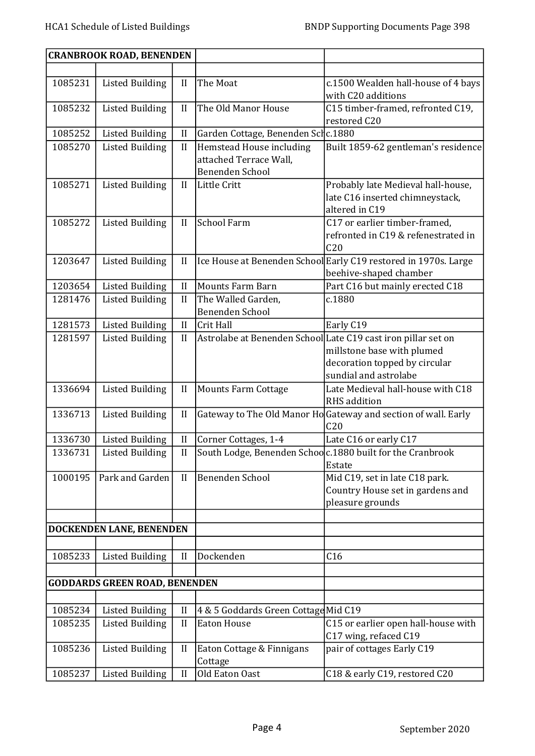|         | <b>CRANBROOK ROAD, BENENDEN</b>      |              |                                                                              |                                                                                                                                                       |
|---------|--------------------------------------|--------------|------------------------------------------------------------------------------|-------------------------------------------------------------------------------------------------------------------------------------------------------|
|         |                                      |              |                                                                              |                                                                                                                                                       |
| 1085231 | <b>Listed Building</b>               | $\mathbf{I}$ | The Moat                                                                     | c.1500 Wealden hall-house of 4 bays<br>with C20 additions                                                                                             |
| 1085232 | <b>Listed Building</b>               | II           | The Old Manor House                                                          | C15 timber-framed, refronted C19,<br>restored C20                                                                                                     |
| 1085252 | <b>Listed Building</b>               | $\mathbf{I}$ | Garden Cottage, Benenden Sclc.1880                                           |                                                                                                                                                       |
| 1085270 | <b>Listed Building</b>               | $\mathbf{I}$ | Hemstead House including<br>attached Terrace Wall,<br><b>Benenden School</b> | Built 1859-62 gentleman's residence                                                                                                                   |
| 1085271 | <b>Listed Building</b>               | II           | Little Critt                                                                 | Probably late Medieval hall-house,<br>late C16 inserted chimneystack,<br>altered in C19                                                               |
| 1085272 | <b>Listed Building</b>               | II           | <b>School Farm</b>                                                           | C17 or earlier timber-framed,<br>refronted in C19 & refenestrated in<br>C <sub>20</sub>                                                               |
| 1203647 | <b>Listed Building</b>               | $\mathbf{I}$ |                                                                              | Ice House at Benenden School Early C19 restored in 1970s. Large<br>beehive-shaped chamber                                                             |
| 1203654 | <b>Listed Building</b>               | II           | <b>Mounts Farm Barn</b>                                                      | Part C16 but mainly erected C18                                                                                                                       |
| 1281476 | <b>Listed Building</b>               | II           | The Walled Garden,<br>Benenden School                                        | c.1880                                                                                                                                                |
| 1281573 | <b>Listed Building</b>               | II           | Crit Hall                                                                    | Early C19                                                                                                                                             |
| 1281597 | <b>Listed Building</b>               | II           |                                                                              | Astrolabe at Benenden School Late C19 cast iron pillar set on<br>millstone base with plumed<br>decoration topped by circular<br>sundial and astrolabe |
| 1336694 | <b>Listed Building</b>               | $\mathbf{I}$ | <b>Mounts Farm Cottage</b>                                                   | Late Medieval hall-house with C18<br>RHS addition                                                                                                     |
| 1336713 | <b>Listed Building</b>               | $\mathbf{I}$ |                                                                              | Gateway to The Old Manor Ho Gateway and section of wall. Early<br>C <sub>20</sub>                                                                     |
| 1336730 | <b>Listed Building</b>               | $\mathbf{I}$ | Corner Cottages, 1-4                                                         | Late C16 or early C17                                                                                                                                 |
| 1336731 | <b>Listed Building</b>               | II           |                                                                              | South Lodge, Benenden Schoo c.1880 built for the Cranbrook<br>Estate                                                                                  |
| 1000195 | Park and Garden                      | II           | Benenden School                                                              | Mid C19, set in late C18 park.<br>Country House set in gardens and<br>pleasure grounds                                                                |
|         | DOCKENDEN LANE, BENENDEN             |              |                                                                              |                                                                                                                                                       |
|         |                                      |              |                                                                              |                                                                                                                                                       |
| 1085233 | <b>Listed Building</b>               | II           | Dockenden                                                                    | C16                                                                                                                                                   |
|         | <b>GODDARDS GREEN ROAD, BENENDEN</b> |              |                                                                              |                                                                                                                                                       |
|         |                                      |              |                                                                              |                                                                                                                                                       |
| 1085234 | <b>Listed Building</b>               | $\mathbf{I}$ | 4 & 5 Goddards Green Cottage Mid C19                                         |                                                                                                                                                       |
| 1085235 | <b>Listed Building</b>               | II           | <b>Eaton House</b>                                                           | C15 or earlier open hall-house with<br>C17 wing, refaced C19                                                                                          |
| 1085236 | <b>Listed Building</b>               | $\mathbf{I}$ | Eaton Cottage & Finnigans<br>Cottage                                         | pair of cottages Early C19                                                                                                                            |
| 1085237 | <b>Listed Building</b>               | II           | Old Eaton Oast                                                               | C18 & early C19, restored C20                                                                                                                         |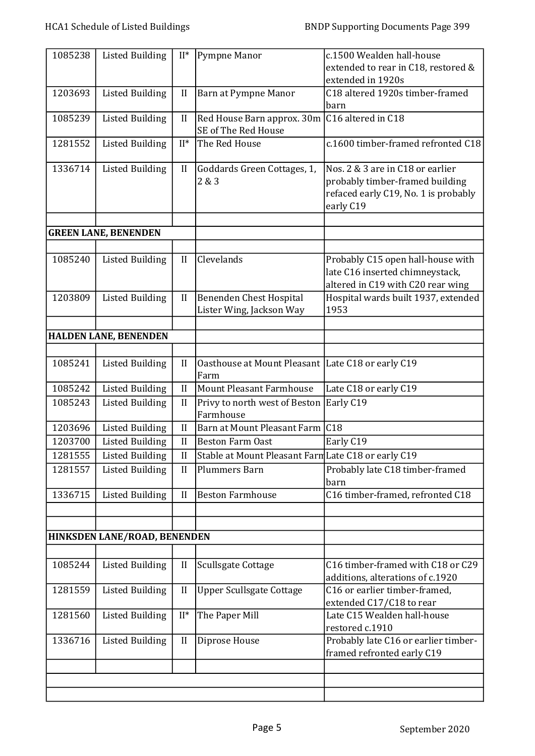| 1085238 | <b>Listed Building</b>       | $II^*$       | Pympne Manor                                               | c.1500 Wealden hall-house<br>extended to rear in C18, restored &<br>extended in 1920s                                    |
|---------|------------------------------|--------------|------------------------------------------------------------|--------------------------------------------------------------------------------------------------------------------------|
| 1203693 | <b>Listed Building</b>       | $\mathbf{I}$ | Barn at Pympne Manor                                       | C18 altered 1920s timber-framed<br>barn                                                                                  |
| 1085239 | <b>Listed Building</b>       | II           | Red House Barn approx. 30m<br>SE of The Red House          | C16 altered in C18                                                                                                       |
| 1281552 | <b>Listed Building</b>       | $II^*$       | The Red House                                              | c.1600 timber-framed refronted C18                                                                                       |
| 1336714 | <b>Listed Building</b>       | $\rm II$     | Goddards Green Cottages, 1,<br>2 & 3                       | Nos. 2 & 3 are in C18 or earlier<br>probably timber-framed building<br>refaced early C19, No. 1 is probably<br>early C19 |
|         | <b>GREEN LANE, BENENDEN</b>  |              |                                                            |                                                                                                                          |
|         |                              |              |                                                            |                                                                                                                          |
| 1085240 | <b>Listed Building</b>       | II           | Clevelands                                                 | Probably C15 open hall-house with<br>late C16 inserted chimneystack,<br>altered in C19 with C20 rear wing                |
| 1203809 | <b>Listed Building</b>       | $\mathbf{I}$ | <b>Benenden Chest Hospital</b><br>Lister Wing, Jackson Way | Hospital wards built 1937, extended<br>1953                                                                              |
|         | <b>HALDEN LANE, BENENDEN</b> |              |                                                            |                                                                                                                          |
|         |                              |              |                                                            |                                                                                                                          |
| 1085241 | <b>Listed Building</b>       | II           | Oasthouse at Mount Pleasant Late C18 or early C19<br>Farm  |                                                                                                                          |
| 1085242 | <b>Listed Building</b>       | II           | <b>Mount Pleasant Farmhouse</b>                            | Late C18 or early C19                                                                                                    |
| 1085243 | <b>Listed Building</b>       | II           | Privy to north west of Beston<br>Farmhouse                 | Early C19                                                                                                                |
| 1203696 | <b>Listed Building</b>       | II           | Barn at Mount Pleasant Farm C18                            |                                                                                                                          |
| 1203700 | <b>Listed Building</b>       | II           | <b>Beston Farm Oast</b>                                    | Early C19                                                                                                                |
| 1281555 | <b>Listed Building</b>       | $\mathbf{I}$ | Stable at Mount Pleasant Farm Late C18 or early C19        |                                                                                                                          |
| 1281557 | <b>Listed Building</b>       | II           | <b>Plummers Barn</b>                                       | Probably late C18 timber-framed<br>barn                                                                                  |
| 1336715 | <b>Listed Building</b>       | II           | <b>Beston Farmhouse</b>                                    | C16 timber-framed, refronted C18                                                                                         |
|         |                              |              |                                                            |                                                                                                                          |
|         | HINKSDEN LANE/ROAD, BENENDEN |              |                                                            |                                                                                                                          |
|         |                              |              |                                                            |                                                                                                                          |
| 1085244 | <b>Listed Building</b>       | $\mathbf{I}$ | <b>Scullsgate Cottage</b>                                  | C16 timber-framed with C18 or C29<br>additions, alterations of c.1920                                                    |
| 1281559 | <b>Listed Building</b>       | $\mathbf{I}$ | <b>Upper Scullsgate Cottage</b>                            | C16 or earlier timber-framed,<br>extended C17/C18 to rear                                                                |
| 1281560 | <b>Listed Building</b>       | $II^*$       | The Paper Mill                                             | Late C15 Wealden hall-house<br>restored c.1910                                                                           |
| 1336716 | <b>Listed Building</b>       | II           | Diprose House                                              | Probably late C16 or earlier timber-<br>framed refronted early C19                                                       |
|         |                              |              |                                                            |                                                                                                                          |
|         |                              |              |                                                            |                                                                                                                          |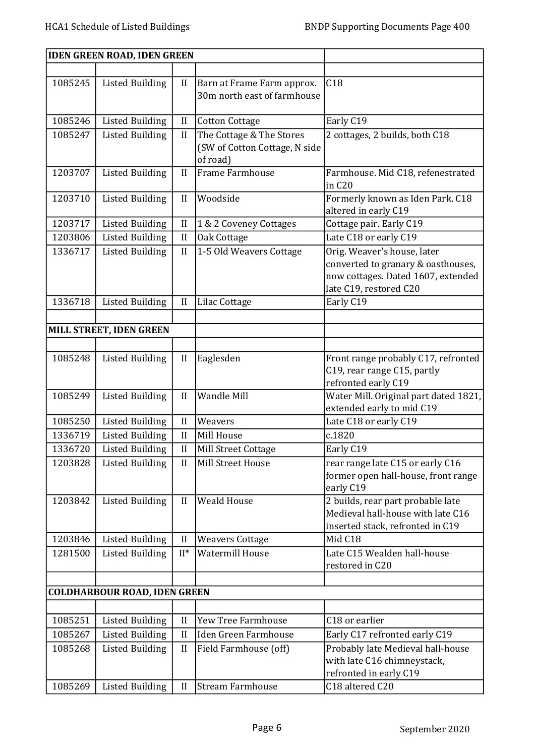| <b>IDEN GREEN ROAD, IDEN GREEN</b> |                                     |              |                                                                       |                                                                                                                                   |
|------------------------------------|-------------------------------------|--------------|-----------------------------------------------------------------------|-----------------------------------------------------------------------------------------------------------------------------------|
|                                    |                                     |              |                                                                       |                                                                                                                                   |
| 1085245                            | <b>Listed Building</b>              | II           | Barn at Frame Farm approx.<br>30m north east of farmhouse             | C18                                                                                                                               |
| 1085246                            | <b>Listed Building</b>              | $\mathbf{I}$ | <b>Cotton Cottage</b>                                                 | Early C19                                                                                                                         |
| 1085247                            | <b>Listed Building</b>              | $\mathbf{I}$ | The Cottage & The Stores<br>(SW of Cotton Cottage, N side<br>of road) | 2 cottages, 2 builds, both C18                                                                                                    |
| 1203707                            | <b>Listed Building</b>              | II           | Frame Farmhouse                                                       | Farmhouse. Mid C18, refenestrated<br>in C <sub>20</sub>                                                                           |
| 1203710                            | <b>Listed Building</b>              | $\mathbf{I}$ | Woodside                                                              | Formerly known as Iden Park. C18<br>altered in early C19                                                                          |
| 1203717                            | <b>Listed Building</b>              | II           | 1 & 2 Coveney Cottages                                                | Cottage pair. Early C19                                                                                                           |
| 1203806                            | <b>Listed Building</b>              | $\mathbf{I}$ | Oak Cottage                                                           | Late C18 or early C19                                                                                                             |
| 1336717                            | <b>Listed Building</b>              | II           | 1-5 Old Weavers Cottage                                               | Orig. Weaver's house, later<br>converted to granary & oasthouses,<br>now cottages. Dated 1607, extended<br>late C19, restored C20 |
| 1336718                            | <b>Listed Building</b>              | $\mathbf{I}$ | Lilac Cottage                                                         | Early C19                                                                                                                         |
|                                    |                                     |              |                                                                       |                                                                                                                                   |
|                                    | MILL STREET, IDEN GREEN             |              |                                                                       |                                                                                                                                   |
|                                    |                                     |              |                                                                       |                                                                                                                                   |
| 1085248                            | <b>Listed Building</b>              | II           | Eaglesden                                                             | Front range probably C17, refronted<br>C19, rear range C15, partly<br>refronted early C19                                         |
| 1085249                            | <b>Listed Building</b>              | II           | Wandle Mill                                                           | Water Mill. Original part dated 1821,<br>extended early to mid C19                                                                |
| 1085250                            | <b>Listed Building</b>              | $\mathbf{I}$ | Weavers                                                               | Late C18 or early C19                                                                                                             |
| 1336719                            | <b>Listed Building</b>              | II           | Mill House                                                            | c.1820                                                                                                                            |
| 1336720                            | <b>Listed Building</b>              | $\mathbf{I}$ | Mill Street Cottage                                                   | Early C19                                                                                                                         |
| 1203828                            | <b>Listed Building</b>              | $\mathbf{I}$ | Mill Street House                                                     | rear range late C15 or early C16<br>former open hall-house, front range<br>early C19                                              |
| 1203842                            | <b>Listed Building</b>              | II           | <b>Weald House</b>                                                    | 2 builds, rear part probable late<br>Medieval hall-house with late C16<br>inserted stack, refronted in C19                        |
| 1203846                            | <b>Listed Building</b>              | $\mathbf{I}$ | <b>Weavers Cottage</b>                                                | Mid C18                                                                                                                           |
| 1281500                            | <b>Listed Building</b>              | $II^*$       | <b>Watermill House</b>                                                | Late C15 Wealden hall-house<br>restored in C20                                                                                    |
|                                    |                                     |              |                                                                       |                                                                                                                                   |
|                                    | <b>COLDHARBOUR ROAD, IDEN GREEN</b> |              |                                                                       |                                                                                                                                   |
|                                    |                                     |              | Yew Tree Farmhouse                                                    | C18 or earlier                                                                                                                    |
| 1085251                            | <b>Listed Building</b>              | $\mathbf{I}$ |                                                                       |                                                                                                                                   |
| 1085267                            | <b>Listed Building</b>              | II           | <b>Iden Green Farmhouse</b>                                           | Early C17 refronted early C19                                                                                                     |
| 1085268                            | <b>Listed Building</b>              | $\mathbf{I}$ | Field Farmhouse (off)                                                 | Probably late Medieval hall-house<br>with late C16 chimneystack,<br>refronted in early C19                                        |
| 1085269                            | <b>Listed Building</b>              | II           | <b>Stream Farmhouse</b>                                               | C18 altered C20                                                                                                                   |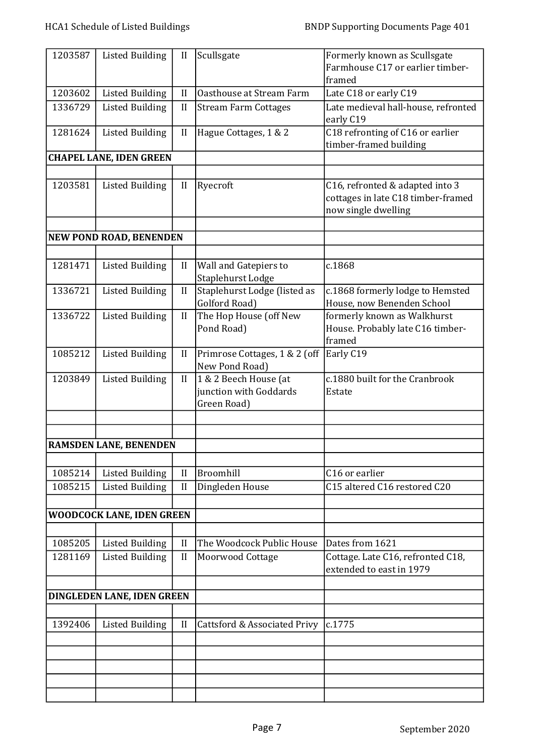| 1203587 | <b>Listed Building</b>         | $\mathbf{I}$ | Scullsgate                    | Formerly known as Scullsgate        |
|---------|--------------------------------|--------------|-------------------------------|-------------------------------------|
|         |                                |              |                               | Farmhouse C17 or earlier timber-    |
|         |                                |              |                               | framed                              |
| 1203602 | <b>Listed Building</b>         | II           | Oasthouse at Stream Farm      | Late C18 or early C19               |
| 1336729 | <b>Listed Building</b>         | $\mathbf{I}$ | <b>Stream Farm Cottages</b>   | Late medieval hall-house, refronted |
|         |                                |              |                               | early C19                           |
| 1281624 | <b>Listed Building</b>         | $\mathbf{I}$ | Hague Cottages, 1 & 2         | C18 refronting of C16 or earlier    |
|         |                                |              |                               | timber-framed building              |
|         | <b>CHAPEL LANE, IDEN GREEN</b> |              |                               |                                     |
|         |                                |              |                               |                                     |
| 1203581 | <b>Listed Building</b>         | $\mathbf{I}$ | Ryecroft                      | C16, refronted & adapted into 3     |
|         |                                |              |                               | cottages in late C18 timber-framed  |
|         |                                |              |                               | now single dwelling                 |
|         |                                |              |                               |                                     |
|         | NEW POND ROAD, BENENDEN        |              |                               |                                     |
|         |                                |              |                               |                                     |
| 1281471 | <b>Listed Building</b>         | $\mathbf{I}$ | Wall and Gatepiers to         | c.1868                              |
|         |                                |              | Staplehurst Lodge             |                                     |
| 1336721 | <b>Listed Building</b>         | II           | Staplehurst Lodge (listed as  | c.1868 formerly lodge to Hemsted    |
|         |                                |              | Golford Road)                 | House, now Benenden School          |
| 1336722 | <b>Listed Building</b>         | II           | The Hop House (off New        | formerly known as Walkhurst         |
|         |                                |              | Pond Road)                    | House. Probably late C16 timber-    |
|         |                                |              |                               | framed                              |
| 1085212 | <b>Listed Building</b>         | II           | Primrose Cottages, 1 & 2 (off | Early C19                           |
|         |                                |              | New Pond Road)                |                                     |
| 1203849 | <b>Listed Building</b>         | II           | 1 & 2 Beech House (at         | c.1880 built for the Cranbrook      |
|         |                                |              | junction with Goddards        | Estate                              |
|         |                                |              | Green Road)                   |                                     |
|         |                                |              |                               |                                     |
|         |                                |              |                               |                                     |
|         | RAMSDEN LANE, BENENDEN         |              |                               |                                     |
|         |                                |              |                               |                                     |
| 1085214 | <b>Listed Building</b>         | II           | Broomhill                     | C16 or earlier                      |
| 1085215 |                                | II           |                               | C15 altered C16 restored C20        |
|         | <b>Listed Building</b>         |              | Dingleden House               |                                     |
|         |                                |              |                               |                                     |
|         | WOODCOCK LANE, IDEN GREEN      |              |                               |                                     |
|         |                                |              |                               |                                     |
| 1085205 | <b>Listed Building</b>         | II           | The Woodcock Public House     | Dates from 1621                     |
| 1281169 | <b>Listed Building</b>         | II           | <b>Moorwood Cottage</b>       | Cottage. Late C16, refronted C18,   |
|         |                                |              |                               | extended to east in 1979            |
|         |                                |              |                               |                                     |
|         | DINGLEDEN LANE, IDEN GREEN     |              |                               |                                     |
|         |                                |              |                               |                                     |
| 1392406 | <b>Listed Building</b>         | $\mathbf{I}$ | Cattsford & Associated Privy  | c.1775                              |
|         |                                |              |                               |                                     |
|         |                                |              |                               |                                     |
|         |                                |              |                               |                                     |
|         |                                |              |                               |                                     |
|         |                                |              |                               |                                     |
|         |                                |              |                               |                                     |